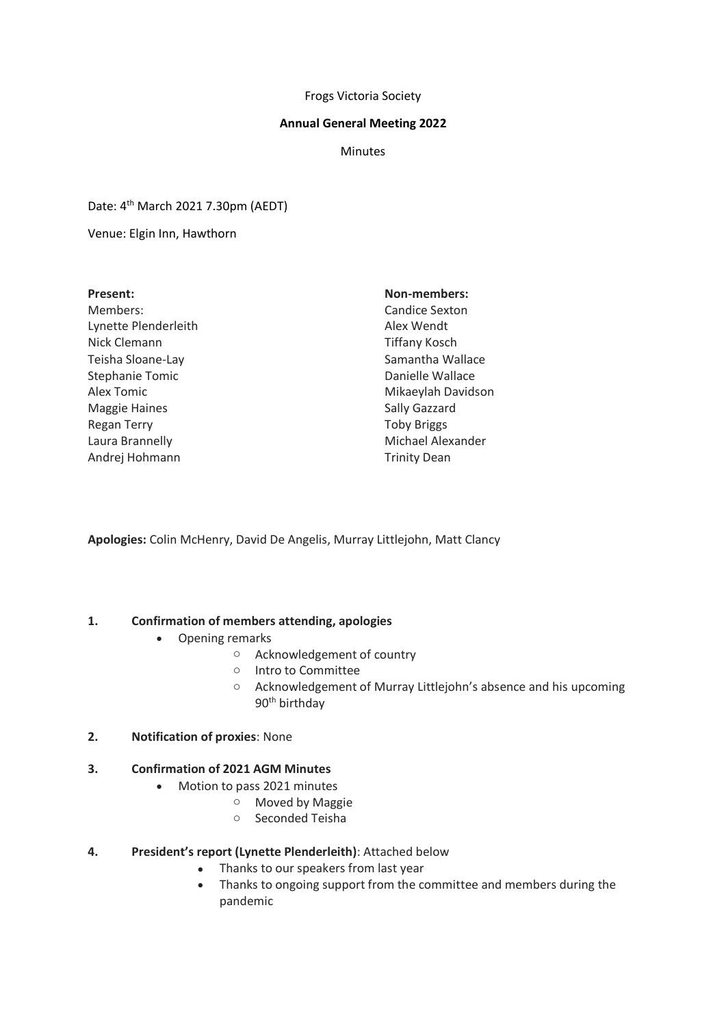#### Frogs Victoria Society

#### **Annual General Meeting 2022**

**Minutes** 

Date: 4th March 2021 7.30pm (AEDT)

Venue: Elgin Inn, Hawthorn

#### **Present:**

Members: Lynette Plenderleith Nick Clemann Teisha Sloane-Lay Stephanie Tomic Alex Tomic Maggie Haines Regan Terry Laura Brannelly Andrej Hohmann

### **Non-members:**

Candice Sexton Alex Wendt Tiffany Kosch Samantha Wallace Danielle Wallace Mikaeylah Davidson Sally Gazzard Toby Briggs Michael Alexander Trinity Dean

**Apologies:** Colin McHenry, David De Angelis, Murray Littlejohn, Matt Clancy

### **1. Confirmation of members attending, apologies**

- Opening remarks
	- o Acknowledgement of country
	- o Intro to Committee
	- o Acknowledgement of Murray Littlejohn's absence and his upcoming 90<sup>th</sup> birthday
- **2. Notification of proxies**: None

## **3. Confirmation of 2021 AGM Minutes**

- Motion to pass 2021 minutes
	- o Moved by Maggie
	- o Seconded Teisha

### **4. President's report (Lynette Plenderleith)**: Attached below

- Thanks to our speakers from last year
- Thanks to ongoing support from the committee and members during the pandemic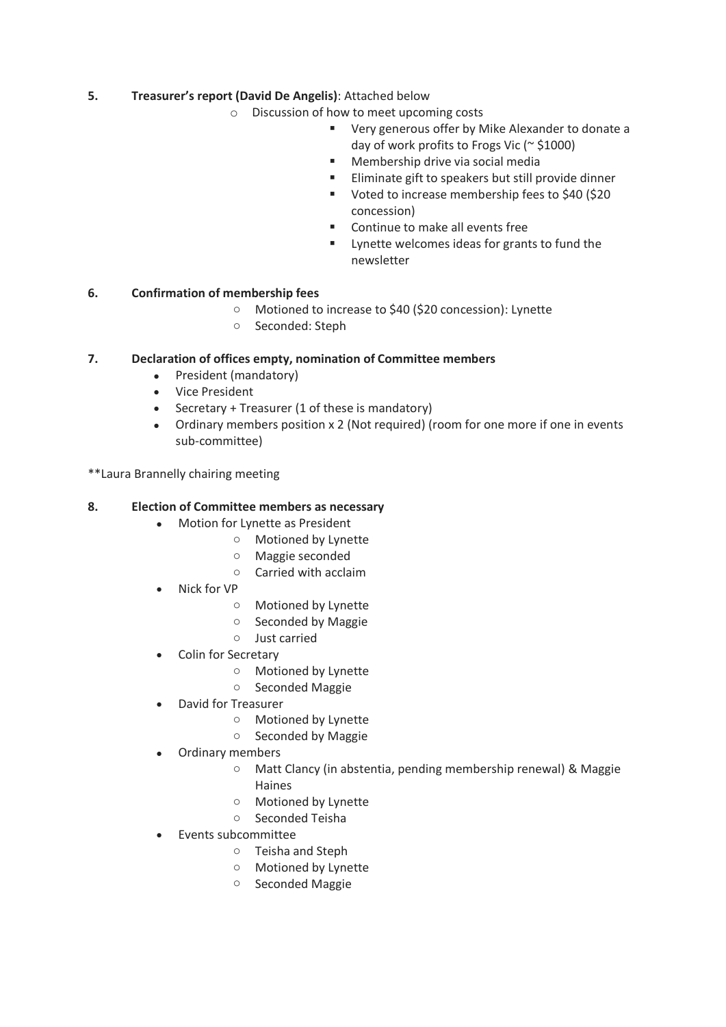# **5. Treasurer's report (David De Angelis)**: Attached below

- o Discussion of how to meet upcoming costs
	- Very generous offer by Mike Alexander to donate a day of work profits to Frogs Vic (~ \$1000)
	- Membership drive via social media
	- Eliminate gift to speakers but still provide dinner
	- Voted to increase membership fees to \$40 (\$20 concession)
	- Continue to make all events free
	- Lynette welcomes ideas for grants to fund the newsletter

## **6. Confirmation of membership fees**

- o Motioned to increase to \$40 (\$20 concession): Lynette
- o Seconded: Steph

## **7. Declaration of offices empty, nomination of Committee members**

- President (mandatory)
- Vice President
- Secretary + Treasurer (1 of these is mandatory)
- Ordinary members position x 2 (Not required) (room for one more if one in events sub-committee)

\*\*Laura Brannelly chairing meeting

### **8. Election of Committee members as necessary**

- Motion for Lynette as President
	- o Motioned by Lynette
	- o Maggie seconded
	- o Carried with acclaim
- Nick for VP
	- o Motioned by Lynette
	- o Seconded by Maggie
	- o Just carried
- Colin for Secretary
	- o Motioned by Lynette
	- o Seconded Maggie
- David for Treasurer
	- o Motioned by Lynette
	- o Seconded by Maggie
- Ordinary members
	- o Matt Clancy (in abstentia, pending membership renewal) & Maggie Haines
	- o Motioned by Lynette
	- o Seconded Teisha
- Events subcommittee
	- o Teisha and Steph
	- o Motioned by Lynette
	- o Seconded Maggie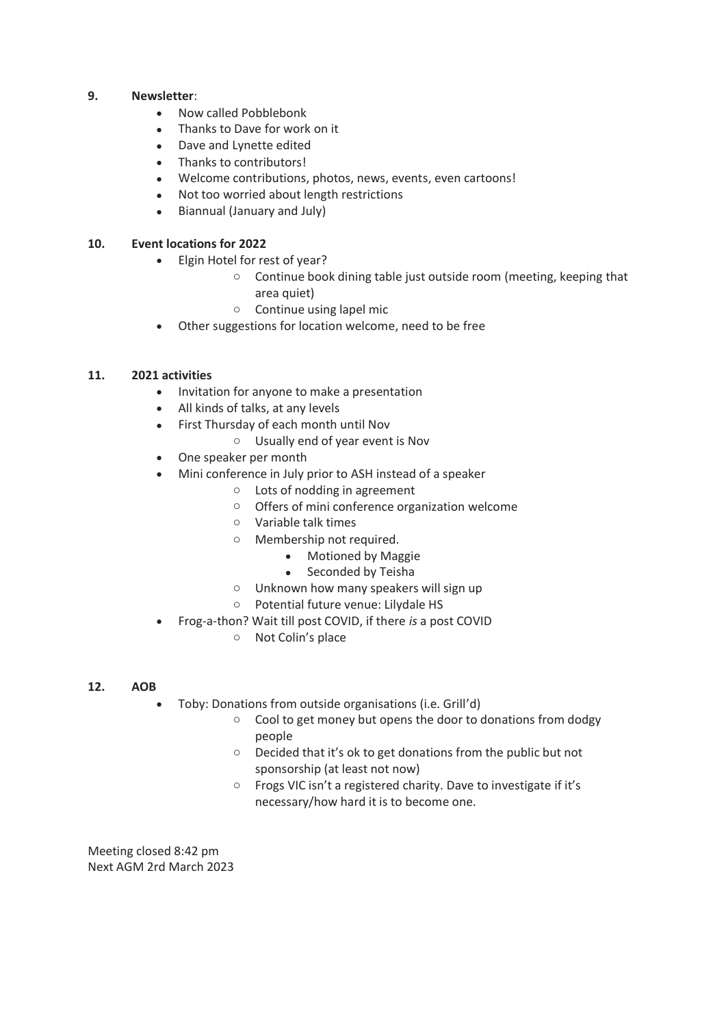### **9. Newsletter**:

- Now called Pobblebonk
- Thanks to Dave for work on it
- Dave and Lynette edited
- Thanks to contributors!
- Welcome contributions, photos, news, events, even cartoons!
- Not too worried about length restrictions
- Biannual (January and July)

## **10. Event locations for 2022**

- Elgin Hotel for rest of year?
	- $\circ$  Continue book dining table just outside room (meeting, keeping that area quiet)
	- o Continue using lapel mic
- Other suggestions for location welcome, need to be free

## **11. 2021 activities**

- Invitation for anyone to make a presentation
- All kinds of talks, at any levels
- First Thursday of each month until Nov
	- o Usually end of year event is Nov
- One speaker per month
- Mini conference in July prior to ASH instead of a speaker
	- o Lots of nodding in agreement
	- o Offers of mini conference organization welcome
	- o Variable talk times
	- o Membership not required.
		- Motioned by Maggie
		- Seconded by Teisha
	- o Unknown how many speakers will sign up
	- o Potential future venue: Lilydale HS
- Frog-a-thon? Wait till post COVID, if there *is* a post COVID
	- o Not Colin's place

### **12. AOB**

- Toby: Donations from outside organisations (i.e. Grill'd)
	- o Cool to get money but opens the door to donations from dodgy people
	- o Decided that it's ok to get donations from the public but not sponsorship (at least not now)
	- o Frogs VIC isn't a registered charity. Dave to investigate if it's necessary/how hard it is to become one.

Meeting closed 8:42 pm Next AGM 2rd March 2023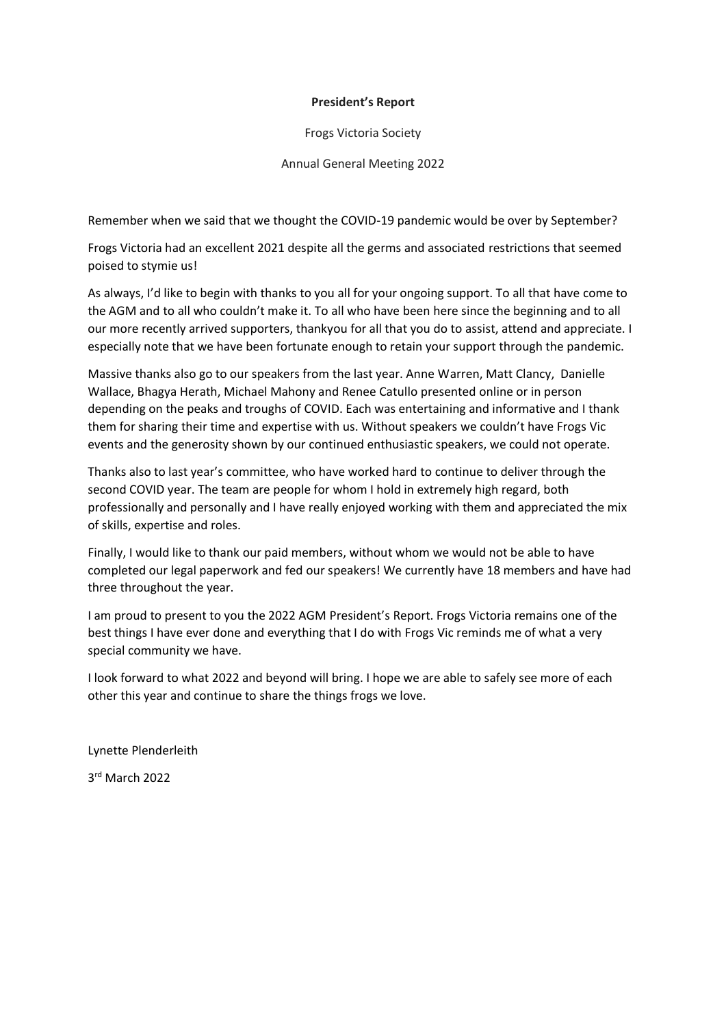### **President's Report**

Frogs Victoria Society

Annual General Meeting 2022

Remember when we said that we thought the COVID-19 pandemic would be over by September?

Frogs Victoria had an excellent 2021 despite all the germs and associated restrictions that seemed poised to stymie us!

As always, I'd like to begin with thanks to you all for your ongoing support. To all that have come to the AGM and to all who couldn't make it. To all who have been here since the beginning and to all our more recently arrived supporters, thankyou for all that you do to assist, attend and appreciate. I especially note that we have been fortunate enough to retain your support through the pandemic.

Massive thanks also go to our speakers from the last year. Anne Warren, Matt Clancy, Danielle Wallace, Bhagya Herath, Michael Mahony and Renee Catullo presented online or in person depending on the peaks and troughs of COVID. Each was entertaining and informative and I thank them for sharing their time and expertise with us. Without speakers we couldn't have Frogs Vic events and the generosity shown by our continued enthusiastic speakers, we could not operate.

Thanks also to last year's committee, who have worked hard to continue to deliver through the second COVID year. The team are people for whom I hold in extremely high regard, both professionally and personally and I have really enjoyed working with them and appreciated the mix of skills, expertise and roles.

Finally, I would like to thank our paid members, without whom we would not be able to have completed our legal paperwork and fed our speakers! We currently have 18 members and have had three throughout the year.

I am proud to present to you the 2022 AGM President's Report. Frogs Victoria remains one of the best things I have ever done and everything that I do with Frogs Vic reminds me of what a very special community we have.

I look forward to what 2022 and beyond will bring. I hope we are able to safely see more of each other this year and continue to share the things frogs we love.

Lynette Plenderleith

3 rd March 2022